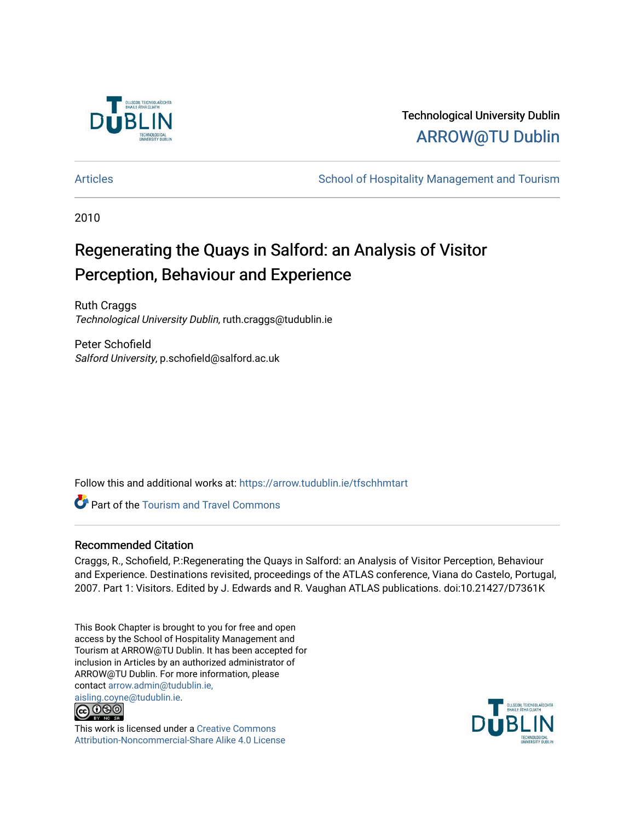

# Technological University Dublin [ARROW@TU Dublin](https://arrow.tudublin.ie/)

[Articles](https://arrow.tudublin.ie/tfschhmtart) **School of Hospitality Management and Tourism** School of Hospitality Management and Tourism

2010

# Regenerating the Quays in Salford: an Analysis of Visitor Perception, Behaviour and Experience

Ruth Craggs Technological University Dublin, ruth.craggs@tudublin.ie

Peter Schofield Salford University, p.schofield@salford.ac.uk

Follow this and additional works at: [https://arrow.tudublin.ie/tfschhmtart](https://arrow.tudublin.ie/tfschhmtart?utm_source=arrow.tudublin.ie%2Ftfschhmtart%2F44&utm_medium=PDF&utm_campaign=PDFCoverPages) 

**Part of the [Tourism and Travel Commons](http://network.bepress.com/hgg/discipline/1082?utm_source=arrow.tudublin.ie%2Ftfschhmtart%2F44&utm_medium=PDF&utm_campaign=PDFCoverPages)** 

# Recommended Citation

Craggs, R., Schofield, P.:Regenerating the Quays in Salford: an Analysis of Visitor Perception, Behaviour and Experience. Destinations revisited, proceedings of the ATLAS conference, Viana do Castelo, Portugal, 2007. Part 1: Visitors. Edited by J. Edwards and R. Vaughan ATLAS publications. doi:10.21427/D7361K

This Book Chapter is brought to you for free and open access by the School of Hospitality Management and Tourism at ARROW@TU Dublin. It has been accepted for inclusion in Articles by an authorized administrator of ARROW@TU Dublin. For more information, please contact [arrow.admin@tudublin.ie,](mailto:arrow.admin@tudublin.ie,%20aisling.coyne@tudublin.ie)  [aisling.coyne@tudublin.ie.](mailto:arrow.admin@tudublin.ie,%20aisling.coyne@tudublin.ie)



This work is licensed under a [Creative Commons](http://creativecommons.org/licenses/by-nc-sa/4.0/) [Attribution-Noncommercial-Share Alike 4.0 License](http://creativecommons.org/licenses/by-nc-sa/4.0/)

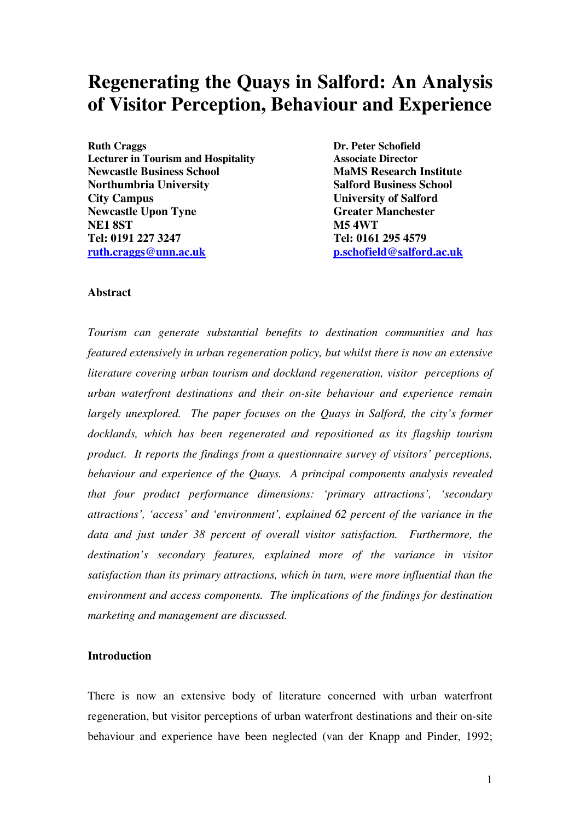# **Regenerating the Quays in Salford: An Analysis of Visitor Perception, Behaviour and Experience**

**Ruth Craggs Dr. Peter Schofield Lecturer in Tourism and Hospitality Associate Director Newcastle Business School MaMS Research Institute Northumbria University Salford Business School City Campus** University of Salford **Newcastle Upon Tyne Greater Manchester Creater Manchester NE1 8ST M5 4WT Tel: 0191 227 3247 Tel: 0161 295 4579 ruth.craggs@unn.ac.uk p.schofield@salford.ac.uk**

#### **Abstract**

*Tourism can generate substantial benefits to destination communities and has featured extensively in urban regeneration policy, but whilst there is now an extensive literature covering urban tourism and dockland regeneration, visitor perceptions of urban waterfront destinations and their on-site behaviour and experience remain largely unexplored. The paper focuses on the Quays in Salford, the city's former docklands, which has been regenerated and repositioned as its flagship tourism product. It reports the findings from a questionnaire survey of visitors' perceptions, behaviour and experience of the Quays. A principal components analysis revealed that four product performance dimensions: 'primary attractions', 'secondary attractions', 'access' and 'environment', explained 62 percent of the variance in the data and just under 38 percent of overall visitor satisfaction. Furthermore, the destination's secondary features, explained more of the variance in visitor satisfaction than its primary attractions, which in turn, were more influential than the environment and access components. The implications of the findings for destination marketing and management are discussed.* 

### **Introduction**

There is now an extensive body of literature concerned with urban waterfront regeneration, but visitor perceptions of urban waterfront destinations and their on-site behaviour and experience have been neglected (van der Knapp and Pinder, 1992;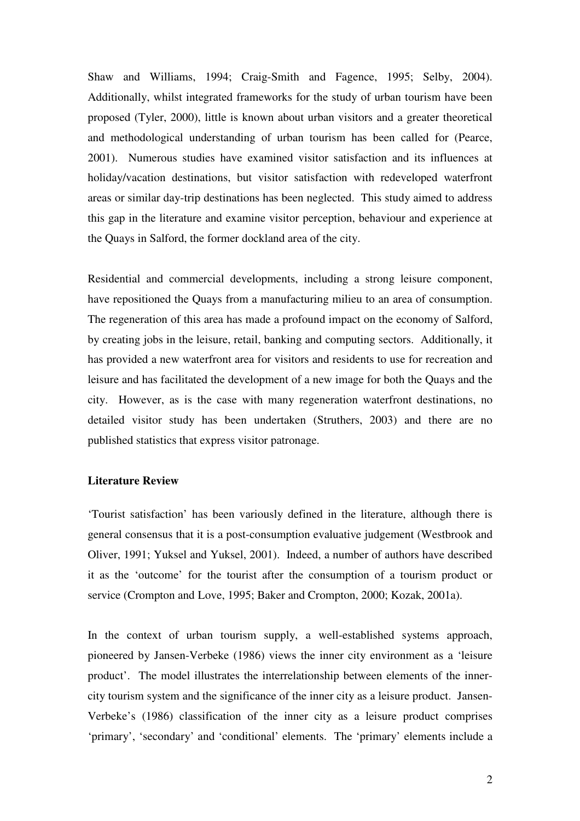Shaw and Williams, 1994; Craig-Smith and Fagence, 1995; Selby, 2004). Additionally, whilst integrated frameworks for the study of urban tourism have been proposed (Tyler, 2000), little is known about urban visitors and a greater theoretical and methodological understanding of urban tourism has been called for (Pearce, 2001). Numerous studies have examined visitor satisfaction and its influences at holiday/vacation destinations, but visitor satisfaction with redeveloped waterfront areas or similar day-trip destinations has been neglected. This study aimed to address this gap in the literature and examine visitor perception, behaviour and experience at the Quays in Salford, the former dockland area of the city.

Residential and commercial developments, including a strong leisure component, have repositioned the Quays from a manufacturing milieu to an area of consumption. The regeneration of this area has made a profound impact on the economy of Salford, by creating jobs in the leisure, retail, banking and computing sectors. Additionally, it has provided a new waterfront area for visitors and residents to use for recreation and leisure and has facilitated the development of a new image for both the Quays and the city. However, as is the case with many regeneration waterfront destinations, no detailed visitor study has been undertaken (Struthers, 2003) and there are no published statistics that express visitor patronage.

#### **Literature Review**

'Tourist satisfaction' has been variously defined in the literature, although there is general consensus that it is a post-consumption evaluative judgement (Westbrook and Oliver, 1991; Yuksel and Yuksel, 2001). Indeed, a number of authors have described it as the 'outcome' for the tourist after the consumption of a tourism product or service (Crompton and Love, 1995; Baker and Crompton, 2000; Kozak, 2001a).

In the context of urban tourism supply, a well-established systems approach, pioneered by Jansen-Verbeke (1986) views the inner city environment as a 'leisure product'. The model illustrates the interrelationship between elements of the innercity tourism system and the significance of the inner city as a leisure product. Jansen-Verbeke's (1986) classification of the inner city as a leisure product comprises 'primary', 'secondary' and 'conditional' elements. The 'primary' elements include a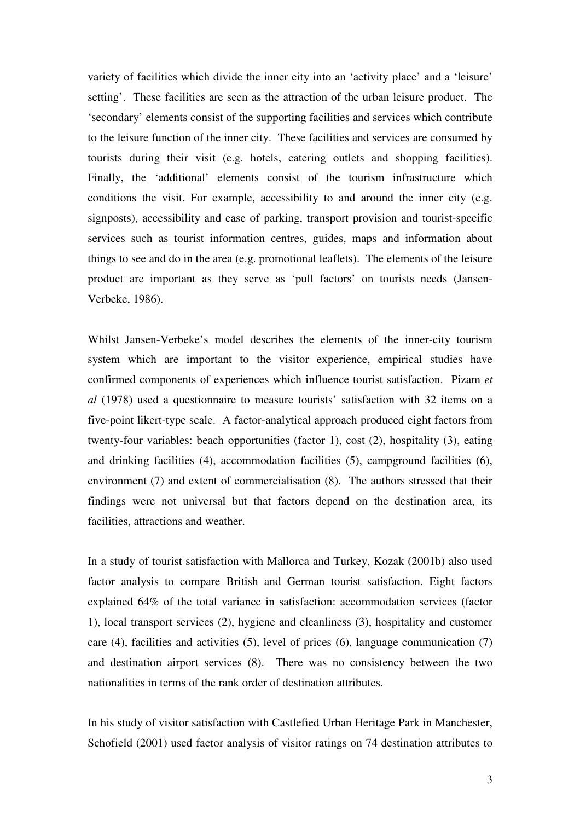variety of facilities which divide the inner city into an 'activity place' and a 'leisure' setting'. These facilities are seen as the attraction of the urban leisure product. The 'secondary' elements consist of the supporting facilities and services which contribute to the leisure function of the inner city. These facilities and services are consumed by tourists during their visit (e.g. hotels, catering outlets and shopping facilities). Finally, the 'additional' elements consist of the tourism infrastructure which conditions the visit. For example, accessibility to and around the inner city (e.g. signposts), accessibility and ease of parking, transport provision and tourist-specific services such as tourist information centres, guides, maps and information about things to see and do in the area (e.g. promotional leaflets). The elements of the leisure product are important as they serve as 'pull factors' on tourists needs (Jansen-Verbeke, 1986).

Whilst Jansen-Verbeke's model describes the elements of the inner-city tourism system which are important to the visitor experience, empirical studies have confirmed components of experiences which influence tourist satisfaction. Pizam *et al* (1978) used a questionnaire to measure tourists' satisfaction with 32 items on a five-point likert-type scale. A factor-analytical approach produced eight factors from twenty-four variables: beach opportunities (factor 1), cost (2), hospitality (3), eating and drinking facilities (4), accommodation facilities (5), campground facilities (6), environment (7) and extent of commercialisation (8). The authors stressed that their findings were not universal but that factors depend on the destination area, its facilities, attractions and weather.

In a study of tourist satisfaction with Mallorca and Turkey, Kozak (2001b) also used factor analysis to compare British and German tourist satisfaction. Eight factors explained 64% of the total variance in satisfaction: accommodation services (factor 1), local transport services (2), hygiene and cleanliness (3), hospitality and customer care (4), facilities and activities (5), level of prices (6), language communication (7) and destination airport services (8). There was no consistency between the two nationalities in terms of the rank order of destination attributes.

In his study of visitor satisfaction with Castlefied Urban Heritage Park in Manchester, Schofield (2001) used factor analysis of visitor ratings on 74 destination attributes to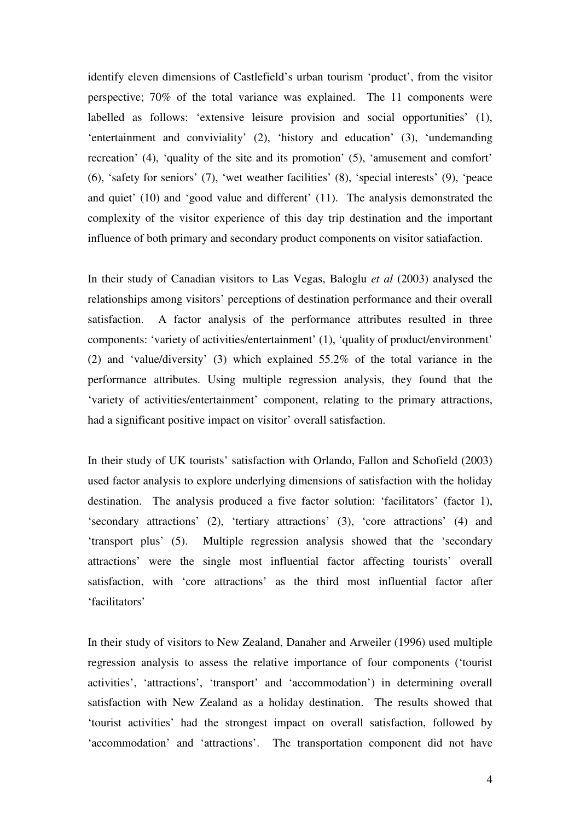identify eleven dimensions of Castlefield's urban tourism 'product', from the visitor perspective; 70% of the total variance was explained. The 11 components were labelled as follows: 'extensive leisure provision and social opportunities' (1), 'entertainment and conviviality' (2), 'history and education' (3), 'undemanding recreation' (4), 'quality of the site and its promotion' (5), 'amusement and comfort' (6), 'safety for seniors' (7), 'wet weather facilities' (8), 'special interests' (9), 'peace and quiet' (10) and 'good value and different' (11). The analysis demonstrated the complexity of the visitor experience of this day trip destination and the important influence of both primary and secondary product components on visitor satiafaction.

In their study of Canadian visitors to Las Vegas, Baloglu *et al* (2003) analysed the relationships among visitors' perceptions of destination performance and their overall satisfaction. A factor analysis of the performance attributes resulted in three components: 'variety of activities/entertainment' (1), 'quality of product/environment' (2) and 'value/diversity' (3) which explained 55.2% of the total variance in the performance attributes. Using multiple regression analysis, they found that the 'variety of activities/entertainment' component, relating to the primary attractions, had a significant positive impact on visitor' overall satisfaction.

In their study of UK tourists' satisfaction with Orlando, Fallon and Schofield (2003) used factor analysis to explore underlying dimensions of satisfaction with the holiday destination. The analysis produced a five factor solution: 'facilitators' (factor 1), 'secondary attractions' (2), 'tertiary attractions' (3), 'core attractions' (4) and 'transport plus' (5). Multiple regression analysis showed that the 'secondary attractions' were the single most influential factor affecting tourists' overall satisfaction, with 'core attractions' as the third most influential factor after 'facilitators'

In their study of visitors to New Zealand, Danaher and Arweiler (1996) used multiple regression analysis to assess the relative importance of four components ('tourist activities', 'attractions', 'transport' and 'accommodation') in determining overall satisfaction with New Zealand as a holiday destination. The results showed that 'tourist activities' had the strongest impact on overall satisfaction, followed by 'accommodation' and 'attractions'. The transportation component did not have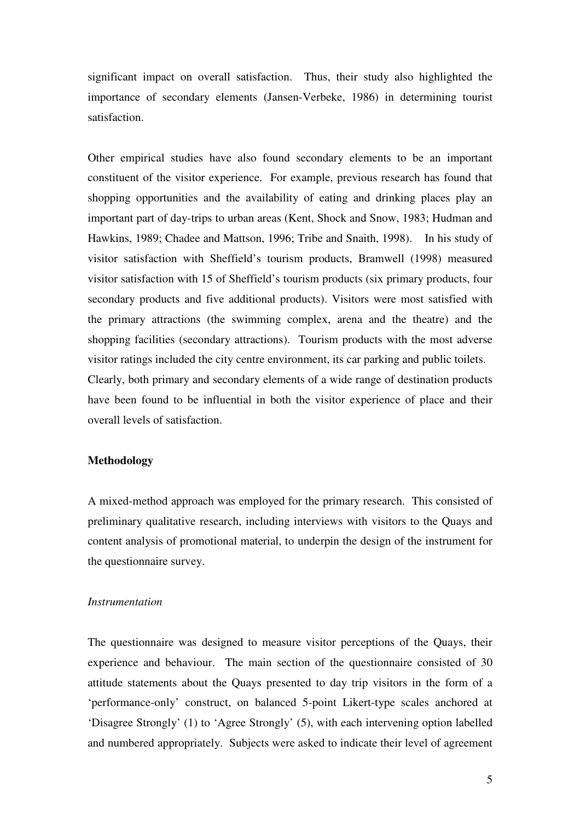significant impact on overall satisfaction. Thus, their study also highlighted the importance of secondary elements (Jansen-Verbeke, 1986) in determining tourist satisfaction.

Other empirical studies have also found secondary elements to be an important constituent of the visitor experience. For example, previous research has found that shopping opportunities and the availability of eating and drinking places play an important part of day-trips to urban areas (Kent, Shock and Snow, 1983; Hudman and Hawkins, 1989; Chadee and Mattson, 1996; Tribe and Snaith, 1998). In his study of visitor satisfaction with Sheffield's tourism products, Bramwell (1998) measured visitor satisfaction with 15 of Sheffield's tourism products (six primary products, four secondary products and five additional products). Visitors were most satisfied with the primary attractions (the swimming complex, arena and the theatre) and the shopping facilities (secondary attractions). Tourism products with the most adverse visitor ratings included the city centre environment, its car parking and public toilets. Clearly, both primary and secondary elements of a wide range of destination products have been found to be influential in both the visitor experience of place and their overall levels of satisfaction.

#### **Methodology**

A mixed-method approach was employed for the primary research. This consisted of preliminary qualitative research, including interviews with visitors to the Quays and content analysis of promotional material, to underpin the design of the instrument for the questionnaire survey.

#### *Instrumentation*

The questionnaire was designed to measure visitor perceptions of the Quays, their experience and behaviour. The main section of the questionnaire consisted of 30 attitude statements about the Quays presented to day trip visitors in the form of a 'performance-only' construct, on balanced 5-point Likert-type scales anchored at 'Disagree Strongly' (1) to 'Agree Strongly' (5), with each intervening option labelled and numbered appropriately. Subjects were asked to indicate their level of agreement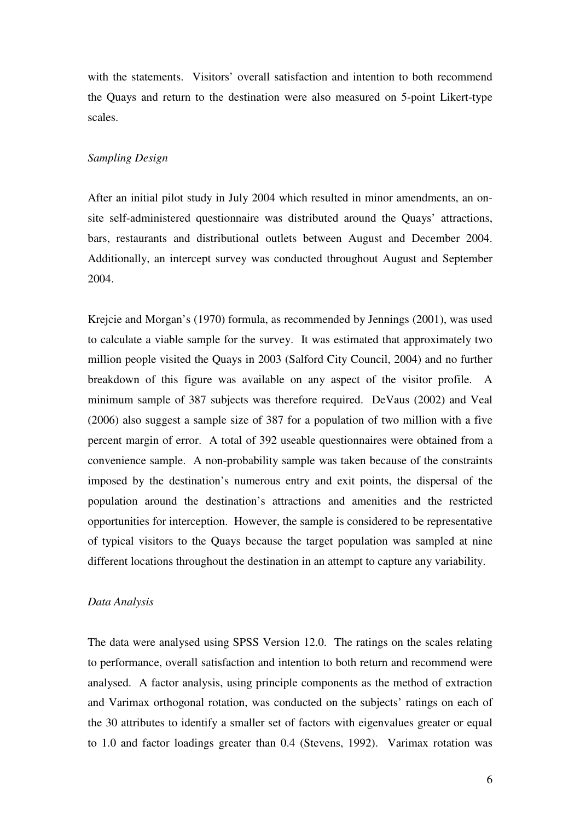with the statements. Visitors' overall satisfaction and intention to both recommend the Quays and return to the destination were also measured on 5-point Likert-type scales.

#### *Sampling Design*

After an initial pilot study in July 2004 which resulted in minor amendments, an onsite self-administered questionnaire was distributed around the Quays' attractions, bars, restaurants and distributional outlets between August and December 2004. Additionally, an intercept survey was conducted throughout August and September 2004.

Krejcie and Morgan's (1970) formula, as recommended by Jennings (2001), was used to calculate a viable sample for the survey. It was estimated that approximately two million people visited the Quays in 2003 (Salford City Council, 2004) and no further breakdown of this figure was available on any aspect of the visitor profile. A minimum sample of 387 subjects was therefore required. DeVaus (2002) and Veal (2006) also suggest a sample size of 387 for a population of two million with a five percent margin of error. A total of 392 useable questionnaires were obtained from a convenience sample. A non-probability sample was taken because of the constraints imposed by the destination's numerous entry and exit points, the dispersal of the population around the destination's attractions and amenities and the restricted opportunities for interception. However, the sample is considered to be representative of typical visitors to the Quays because the target population was sampled at nine different locations throughout the destination in an attempt to capture any variability.

#### *Data Analysis*

The data were analysed using SPSS Version 12.0. The ratings on the scales relating to performance, overall satisfaction and intention to both return and recommend were analysed. A factor analysis, using principle components as the method of extraction and Varimax orthogonal rotation, was conducted on the subjects' ratings on each of the 30 attributes to identify a smaller set of factors with eigenvalues greater or equal to 1.0 and factor loadings greater than 0.4 (Stevens, 1992). Varimax rotation was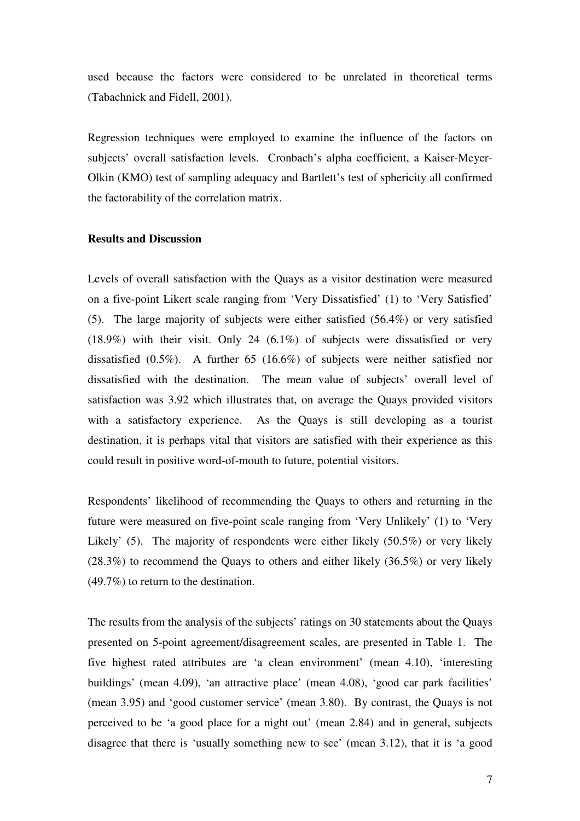used because the factors were considered to be unrelated in theoretical terms (Tabachnick and Fidell, 2001).

Regression techniques were employed to examine the influence of the factors on subjects' overall satisfaction levels. Cronbach's alpha coefficient, a Kaiser-Meyer-Olkin (KMO) test of sampling adequacy and Bartlett's test of sphericity all confirmed the factorability of the correlation matrix.

#### **Results and Discussion**

Levels of overall satisfaction with the Quays as a visitor destination were measured on a five-point Likert scale ranging from 'Very Dissatisfied' (1) to 'Very Satisfied' (5). The large majority of subjects were either satisfied (56.4%) or very satisfied (18.9%) with their visit. Only 24 (6.1%) of subjects were dissatisfied or very dissatisfied (0.5%). A further 65 (16.6%) of subjects were neither satisfied nor dissatisfied with the destination. The mean value of subjects' overall level of satisfaction was 3.92 which illustrates that, on average the Quays provided visitors with a satisfactory experience. As the Quays is still developing as a tourist destination, it is perhaps vital that visitors are satisfied with their experience as this could result in positive word-of-mouth to future, potential visitors.

Respondents' likelihood of recommending the Quays to others and returning in the future were measured on five-point scale ranging from 'Very Unlikely' (1) to 'Very Likely' (5). The majority of respondents were either likely (50.5%) or very likely (28.3%) to recommend the Quays to others and either likely (36.5%) or very likely (49.7%) to return to the destination.

The results from the analysis of the subjects' ratings on 30 statements about the Quays presented on 5-point agreement/disagreement scales, are presented in Table 1. The five highest rated attributes are 'a clean environment' (mean 4.10), 'interesting buildings' (mean 4.09), 'an attractive place' (mean 4.08), 'good car park facilities' (mean 3.95) and 'good customer service' (mean 3.80). By contrast, the Quays is not perceived to be 'a good place for a night out' (mean 2.84) and in general, subjects disagree that there is 'usually something new to see' (mean 3.12), that it is 'a good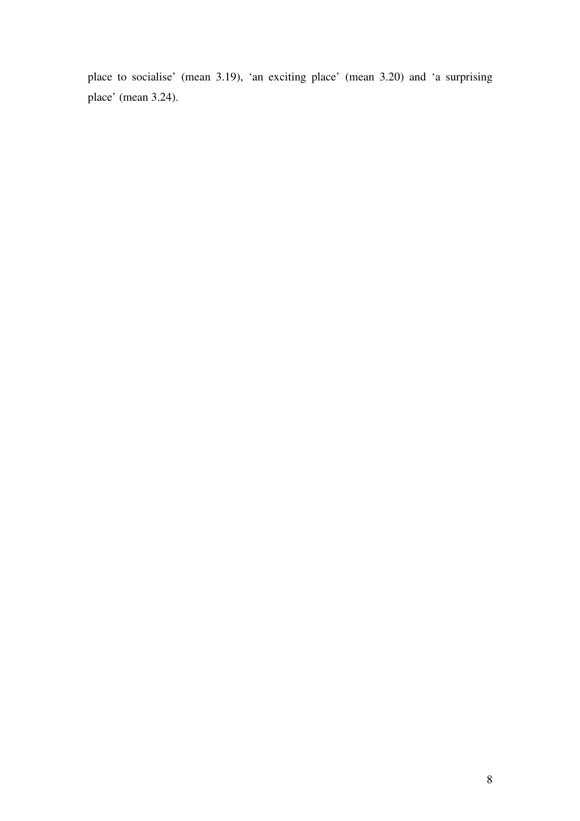place to socialise' (mean 3.19), 'an exciting place' (mean 3.20) and 'a surprising place' (mean 3.24).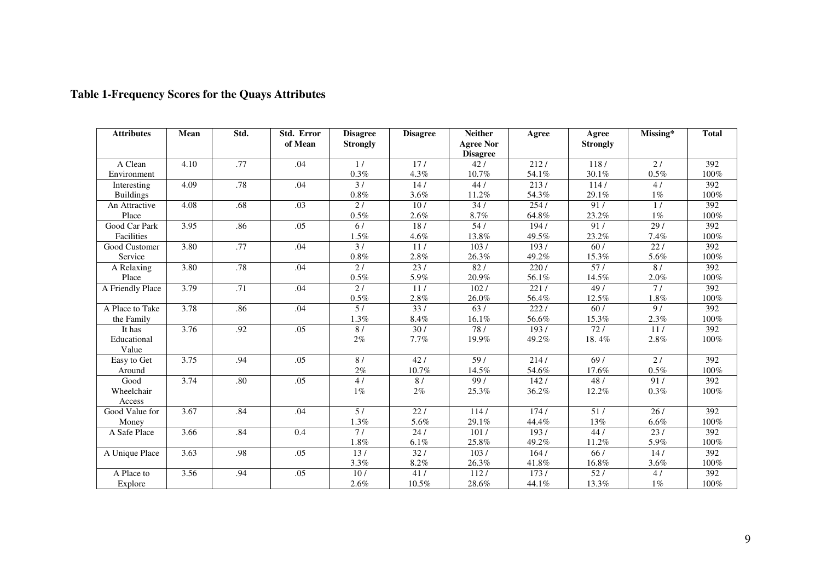| <b>Attributes</b>    | Mean | Std.             | Std. Error<br>of Mean | <b>Disagree</b><br><b>Strongly</b> | <b>Disagree</b>  | <b>Neither</b><br><b>Agree Nor</b><br><b>Disagree</b> | Agree | Agree<br><b>Strongly</b> | Missing*        | <b>Total</b> |
|----------------------|------|------------------|-----------------------|------------------------------------|------------------|-------------------------------------------------------|-------|--------------------------|-----------------|--------------|
| A Clean              | 4.10 | .77              | .04                   | 1/                                 | 17/              | 42/                                                   | 212/  | 118/                     | 2l              | 392          |
| Environment          |      |                  |                       | 0.3%                               | 4.3%             | 10.7%                                                 | 54.1% | 30.1%                    | $0.5\%$         | 100%         |
| Interesting          | 4.09 | .78              | .04                   | $\overline{31}$                    | 14/              | 44/                                                   | 213/  | 114/                     | 4/              | 392          |
| <b>Buildings</b>     |      |                  |                       | $0.8\%$                            | 3.6%             | 11.2%                                                 | 54.3% | 29.1%                    | $1\%$           | 100%         |
| An Attractive        | 4.08 | .68              | .03                   | 2l                                 | 10/              | 34/                                                   | 254/  | 91/                      | 1/              | 392          |
| Place                |      |                  |                       | $0.5\%$                            | 2.6%             | $8.7\%$                                               | 64.8% | 23.2%                    | $1\%$           | 100%         |
| Good Car Park        | 3.95 | .86              | .05                   | 6/                                 | 18/              | 54/                                                   | 194/  | 91/                      | 29/             | 392          |
| Facilities           |      |                  |                       | $1.5\%$                            | 4.6%             | 13.8%                                                 | 49.5% | 23.2%                    | 7.4%            | 100%         |
| Good Customer        | 3.80 | .77              | .04                   | $\overline{31}$                    | 11/              | 103/                                                  | 193/  | 60/                      | 22/             | 392          |
| Service              |      |                  |                       | $0.8\%$                            | 2.8%             | 26.3%                                                 | 49.2% | 15.3%                    | 5.6%            | 100%         |
| A Relaxing           | 3.80 | .78              | .04                   | 2/                                 | $\overline{231}$ | 82/                                                   | 220/  | $\overline{571}$         | 8/              | 392          |
| Place                |      |                  |                       | $0.5\%$                            | 5.9%             | $20.9\%$                                              | 56.1% | 14.5%                    | $2.0\%$         | 100%         |
| A Friendly Place     | 3.79 | $\overline{.71}$ | .04                   | 2l                                 | 11/              | 102/                                                  | 221/  | 49/                      | 71              | 392          |
|                      |      |                  |                       | $0.5\%$                            | $2.8\%$          | $26.0\%$                                              | 56.4% | 12.5%                    | $1.8\%$         | 100%         |
| A Place to Take      | 3.78 | .86              | .04                   | 5/                                 | 33/              | 63/                                                   | 222/  | 60/                      | $\overline{9/}$ | 392          |
| the Family           |      |                  |                       | 1.3%                               | 8.4%             | 16.1%                                                 | 56.6% | 15.3%                    | 2.3%            | 100%         |
| It has               | 3.76 | .92              | .05                   | 8/                                 | 30/              | 78/                                                   | 193/  | 72/                      | 11/             | 392          |
| Educational<br>Value |      |                  |                       | $2\%$                              | 7.7%             | 19.9%                                                 | 49.2% | 18.4%                    | 2.8%            | 100%         |
| Easy to Get          | 3.75 | .94              | .05                   | 8/                                 | 42/              | 59/                                                   | 214/  | 69/                      | 2/              | 392          |
| Around               |      |                  |                       | 2%                                 | 10.7%            | 14.5%                                                 | 54.6% | 17.6%                    | $0.5\%$         | 100%         |
| Good                 | 3.74 | .80              | .05                   | 4/                                 | 8/               | 99/                                                   | 142/  | 48/                      | 91/             | 392          |
| Wheelchair<br>Access |      |                  |                       | $1\%$                              | 2%               | 25.3%                                                 | 36.2% | 12.2%                    | $0.3\%$         | 100%         |
| Good Value for       | 3.67 | .84              | .04                   | 5/                                 | 22/              | 114/                                                  | 174/  | 51/                      | 26/             | 392          |
| Money                |      |                  |                       | 1.3%                               | 5.6%             | 29.1%                                                 | 44.4% | 13%                      | 6.6%            | 100%         |
| A Safe Place         | 3.66 | .84              | 0.4                   | 71                                 | 24/              | 101/                                                  | 193/  | 44/                      | 23/             | 392          |
|                      |      |                  |                       | 1.8%                               | 6.1%             | 25.8%                                                 | 49.2% | 11.2%                    | 5.9%            | 100%         |
| A Unique Place       | 3.63 | .98              | .05                   | 13/                                | 32/              | 103/                                                  | 164/  | 66/                      | 14/             | 392          |
|                      |      |                  |                       | $3.3\%$                            | 8.2%             | 26.3%                                                 | 41.8% | 16.8%                    | 3.6%            | 100%         |
| A Place to           | 3.56 | .94              | .05                   | 10/                                | 41/              | 112/                                                  | 173/  | 52/                      | 4/              | 392          |
| Explore              |      |                  |                       | 2.6%                               | 10.5%            | $28.6\%$                                              | 44.1% | 13.3%                    | $1\%$           | 100%         |

# **Table 1-Frequency Scores for the Quays Attributes**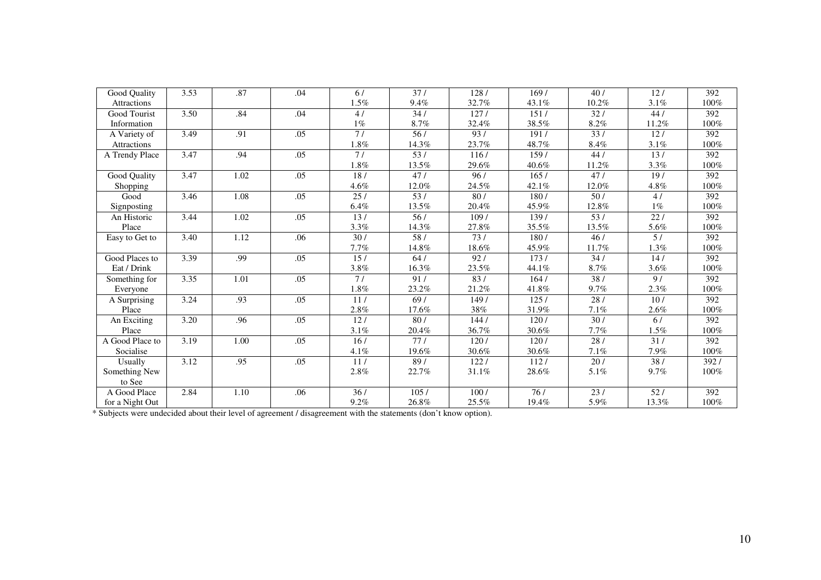| Good Quality    | 3.53 | .87  | .04 | 6/      | 37/     | 128/  | 169/              | 40/     | 12/             | 392              |
|-----------------|------|------|-----|---------|---------|-------|-------------------|---------|-----------------|------------------|
| Attractions     |      |      |     | 1.5%    | 9.4%    | 32.7% | 43.1%             | 10.2%   | 3.1%            | 100%             |
| Good Tourist    | 3.50 | .84  | .04 | 4/      | 34/     | 127/  | 151/              | 32/     | 44/             | 392              |
| Information     |      |      |     | $1\%$   | $8.7\%$ | 32.4% | 38.5%             | $8.2\%$ | 11.2%           | 100%             |
| A Variety of    | 3.49 | .91  | .05 | 71      | 56/     | 93/   | 191/              | 33/     | 12/             | 392              |
| Attractions     |      |      |     | 1.8%    | 14.3%   | 23.7% | 48.7%             | 8.4%    | 3.1%            | 100%             |
| A Trendy Place  | 3.47 | .94  | .05 | 7/      | 53/     | 116/  | 159/              | 44/     | 13/             | 392              |
|                 |      |      |     | 1.8%    | 13.5%   | 29.6% | 40.6%             | 11.2%   | 3.3%            | 100%             |
| Good Quality    | 3.47 | 1.02 | .05 | 18/     | 47/     | 96/   | 165/              | 47/     | 19/             | 392              |
| Shopping        |      |      |     | 4.6%    | 12.0%   | 24.5% | 42.1%             | 12.0%   | 4.8%            | 100%             |
| Good            | 3.46 | 1.08 | .05 | 25/     | 53/     | 80/   | 180/              | 50/     | 4/              | 392              |
| Signposting     |      |      |     | 6.4%    | 13.5%   | 20.4% | 45.9%             | 12.8%   | $1\%$           | 100%             |
| An Historic     | 3.44 | 1.02 | .05 | 13/     | 56/     | 109/  | 139/              | 53/     | 22l             | 392              |
| Place           |      |      |     | $3.3\%$ | 14.3%   | 27.8% | 35.5%             | 13.5%   | 5.6%            | 100%             |
| Easy to Get to  | 3.40 | 1.12 | .06 | 30/     | 58/     | 73/   | 180/              | 46/     | 5/              | 392              |
|                 |      |      |     | 7.7%    | 14.8%   | 18.6% | 45.9%             | 11.7%   | 1.3%            | 100%             |
| Good Places to  | 3.39 | .99  | .05 | 15/     | 64/     | 92/   | 173/              | 34/     | 14/             | $\overline{392}$ |
| Eat / Drink     |      |      |     | 3.8%    | 16.3%   | 23.5% | 44.1%             | 8.7%    | 3.6%            | 100%             |
| Something for   | 3.35 | 1.01 | .05 | 71      | 91/     | 83/   | 164/              | 38/     | $\overline{91}$ | $\overline{392}$ |
| Everyone        |      |      |     | 1.8%    | 23.2%   | 21.2% | 41.8%             | 9.7%    | 2.3%            | 100%             |
| A Surprising    | 3.24 | .93  | .05 | 11/     | 69/     | 149/  | $\overline{1257}$ | 28/     | 10/             | 392              |
| Place           |      |      |     | 2.8%    | 17.6%   | 38%   | 31.9%             | 7.1%    | 2.6%            | 100%             |
| An Exciting     | 3.20 | .96  | .05 | 12/     | 80 /    | 144/  | 120/              | 30/     | 6/              | 392              |
| Place           |      |      |     | $3.1\%$ | 20.4%   | 36.7% | 30.6%             | 7.7%    | $1.5\%$         | $100\%$          |
| A Good Place to | 3.19 | 1.00 | .05 | 16/     | 77/     | 120/  | 120/              | 28/     | 31/             | 392              |
| Socialise       |      |      |     | 4.1%    | 19.6%   | 30.6% | 30.6%             | 7.1%    | 7.9%            | 100%             |
| Usually         | 3.12 | .95  | .05 | 11/     | 89/     | 122/  | 112/              | 20/     | 38/             | 392/             |
| Something New   |      |      |     | 2.8%    | 22.7%   | 31.1% | 28.6%             | 5.1%    | 9.7%            | 100%             |
| to See          |      |      |     |         |         |       |                   |         |                 |                  |
| A Good Place    | 2.84 | 1.10 | .06 | 36/     | 105/    | 100/  | $76/$             | 23/     | 52/             | 392              |
| for a Night Out |      |      |     | 9.2%    | 26.8%   | 25.5% | 19.4%             | 5.9%    | 13.3%           | $100\%$          |

for a Night Out 1<br>
\* Subjects were undecided about their level of agreement / disagreement with the statements (don't know option).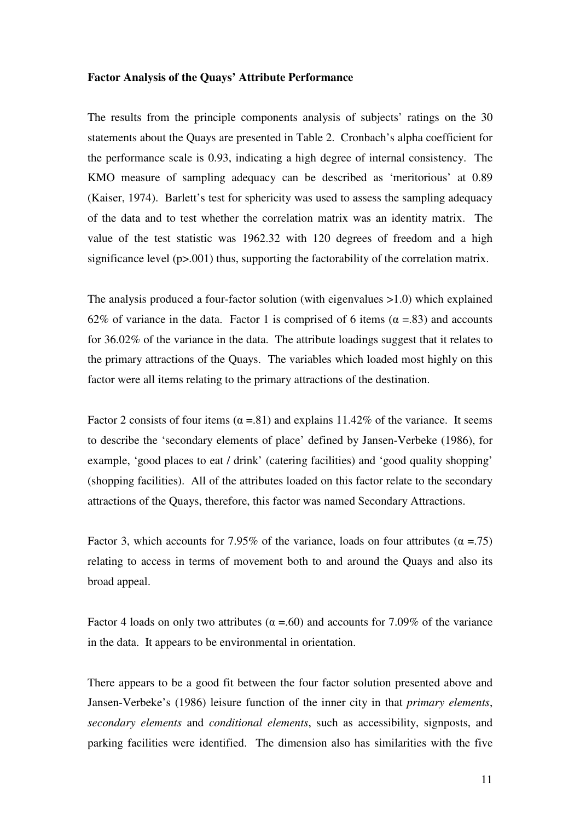#### **Factor Analysis of the Quays' Attribute Performance**

The results from the principle components analysis of subjects' ratings on the 30 statements about the Quays are presented in Table 2. Cronbach's alpha coefficient for the performance scale is 0.93, indicating a high degree of internal consistency. The KMO measure of sampling adequacy can be described as 'meritorious' at 0.89 (Kaiser, 1974). Barlett's test for sphericity was used to assess the sampling adequacy of the data and to test whether the correlation matrix was an identity matrix. The value of the test statistic was 1962.32 with 120 degrees of freedom and a high significance level (p>.001) thus, supporting the factorability of the correlation matrix.

The analysis produced a four-factor solution (with eigenvalues >1.0) which explained 62% of variance in the data. Factor 1 is comprised of 6 items ( $\alpha$  =.83) and accounts for 36.02% of the variance in the data. The attribute loadings suggest that it relates to the primary attractions of the Quays. The variables which loaded most highly on this factor were all items relating to the primary attractions of the destination.

Factor 2 consists of four items ( $\alpha$  =.81) and explains 11.42% of the variance. It seems to describe the 'secondary elements of place' defined by Jansen-Verbeke (1986), for example, 'good places to eat / drink' (catering facilities) and 'good quality shopping' (shopping facilities). All of the attributes loaded on this factor relate to the secondary attractions of the Quays, therefore, this factor was named Secondary Attractions.

Factor 3, which accounts for 7.95% of the variance, loads on four attributes ( $\alpha = .75$ ) relating to access in terms of movement both to and around the Quays and also its broad appeal.

Factor 4 loads on only two attributes ( $\alpha = .60$ ) and accounts for 7.09% of the variance in the data. It appears to be environmental in orientation.

There appears to be a good fit between the four factor solution presented above and Jansen-Verbeke's (1986) leisure function of the inner city in that *primary elements*, *secondary elements* and *conditional elements*, such as accessibility, signposts, and parking facilities were identified. The dimension also has similarities with the five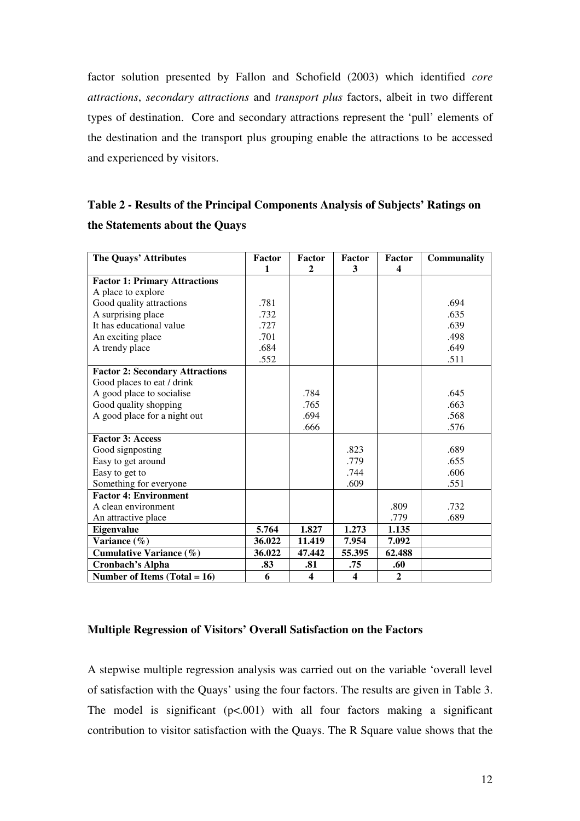factor solution presented by Fallon and Schofield (2003) which identified *core attractions*, *secondary attractions* and *transport plus* factors, albeit in two different types of destination. Core and secondary attractions represent the 'pull' elements of the destination and the transport plus grouping enable the attractions to be accessed and experienced by visitors.

| Table 2 - Results of the Principal Components Analysis of Subjects' Ratings on |  |
|--------------------------------------------------------------------------------|--|
| the Statements about the Quays                                                 |  |

| The Quays' Attributes                  | Factor       | Factor                  | Factor                  | Factor       | <b>Communality</b> |
|----------------------------------------|--------------|-------------------------|-------------------------|--------------|--------------------|
|                                        | $\mathbf{1}$ | 2                       | 3                       | 4            |                    |
| <b>Factor 1: Primary Attractions</b>   |              |                         |                         |              |                    |
| A place to explore                     |              |                         |                         |              |                    |
| Good quality attractions               | .781         |                         |                         |              | .694               |
| A surprising place                     | .732         |                         |                         |              | .635               |
| It has educational value               | .727         |                         |                         |              | .639               |
| An exciting place                      | .701         |                         |                         |              | .498               |
| A trendy place                         | .684         |                         |                         |              | .649               |
|                                        | .552         |                         |                         |              | .511               |
| <b>Factor 2: Secondary Attractions</b> |              |                         |                         |              |                    |
| Good places to eat / drink             |              |                         |                         |              |                    |
| A good place to socialise              |              | .784                    |                         |              | .645               |
| Good quality shopping                  |              | .765                    |                         |              | .663               |
| A good place for a night out           |              | .694                    |                         |              | .568               |
|                                        |              | .666                    |                         |              | .576               |
| <b>Factor 3: Access</b>                |              |                         |                         |              |                    |
| Good signposting                       |              |                         | .823                    |              | .689               |
| Easy to get around                     |              |                         | .779                    |              | .655               |
| Easy to get to                         |              |                         | .744                    |              | .606               |
| Something for everyone                 |              |                         | .609                    |              | .551               |
| <b>Factor 4: Environment</b>           |              |                         |                         |              |                    |
| A clean environment                    |              |                         |                         | .809         | .732               |
| An attractive place                    |              |                         |                         | .779         | .689               |
| Eigenvalue                             | 5.764        | 1.827                   | 1.273                   | 1.135        |                    |
| Variance $(\% )$                       | 36.022       | 11.419                  | 7.954                   | 7.092        |                    |
| <b>Cumulative Variance (%)</b>         | 36.022       | 47.442                  | 55.395                  | 62.488       |                    |
| <b>Cronbach's Alpha</b>                | .83          | .81                     | .75                     | .60          |                    |
| Number of Items (Total = $16$ )        | 6            | $\overline{\mathbf{4}}$ | $\overline{\mathbf{4}}$ | $\mathbf{2}$ |                    |

## **Multiple Regression of Visitors' Overall Satisfaction on the Factors**

A stepwise multiple regression analysis was carried out on the variable 'overall level of satisfaction with the Quays' using the four factors. The results are given in Table 3. The model is significant  $(p<.001)$  with all four factors making a significant contribution to visitor satisfaction with the Quays. The R Square value shows that the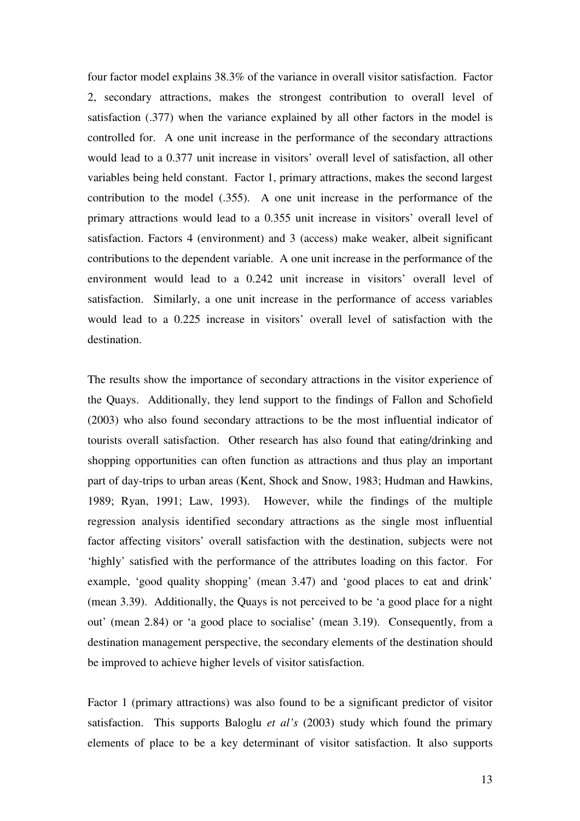four factor model explains 38.3% of the variance in overall visitor satisfaction. Factor 2, secondary attractions, makes the strongest contribution to overall level of satisfaction (.377) when the variance explained by all other factors in the model is controlled for. A one unit increase in the performance of the secondary attractions would lead to a 0.377 unit increase in visitors' overall level of satisfaction, all other variables being held constant. Factor 1, primary attractions, makes the second largest contribution to the model (.355). A one unit increase in the performance of the primary attractions would lead to a 0.355 unit increase in visitors' overall level of satisfaction. Factors 4 (environment) and 3 (access) make weaker, albeit significant contributions to the dependent variable. A one unit increase in the performance of the environment would lead to a 0.242 unit increase in visitors' overall level of satisfaction. Similarly, a one unit increase in the performance of access variables would lead to a 0.225 increase in visitors' overall level of satisfaction with the destination.

The results show the importance of secondary attractions in the visitor experience of the Quays. Additionally, they lend support to the findings of Fallon and Schofield (2003) who also found secondary attractions to be the most influential indicator of tourists overall satisfaction. Other research has also found that eating/drinking and shopping opportunities can often function as attractions and thus play an important part of day-trips to urban areas (Kent, Shock and Snow, 1983; Hudman and Hawkins, 1989; Ryan, 1991; Law, 1993). However, while the findings of the multiple regression analysis identified secondary attractions as the single most influential factor affecting visitors' overall satisfaction with the destination, subjects were not 'highly' satisfied with the performance of the attributes loading on this factor. For example, 'good quality shopping' (mean 3.47) and 'good places to eat and drink' (mean 3.39). Additionally, the Quays is not perceived to be 'a good place for a night out' (mean 2.84) or 'a good place to socialise' (mean 3.19). Consequently, from a destination management perspective, the secondary elements of the destination should be improved to achieve higher levels of visitor satisfaction.

Factor 1 (primary attractions) was also found to be a significant predictor of visitor satisfaction. This supports Baloglu *et al's* (2003) study which found the primary elements of place to be a key determinant of visitor satisfaction. It also supports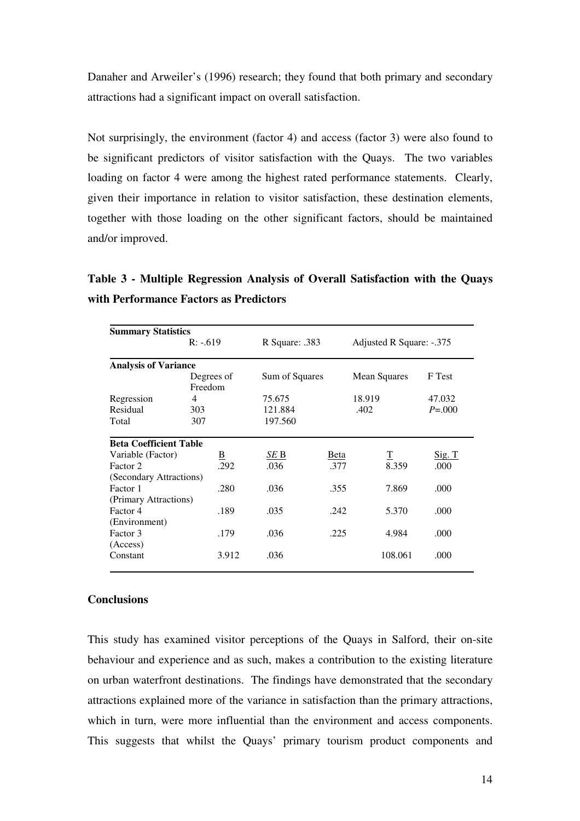Danaher and Arweiler's (1996) research; they found that both primary and secondary attractions had a significant impact on overall satisfaction.

Not surprisingly, the environment (factor 4) and access (factor 3) were also found to be significant predictors of visitor satisfaction with the Quays. The two variables loading on factor 4 were among the highest rated performance statements. Clearly, given their importance in relation to visitor satisfaction, these destination elements, together with those loading on the other significant factors, should be maintained and/or improved.

**Table 3 - Multiple Regression Analysis of Overall Satisfaction with the Quays with Performance Factors as Predictors** 

| <b>Summary Statistics</b>     |                       |                |      |                          |               |  |
|-------------------------------|-----------------------|----------------|------|--------------------------|---------------|--|
|                               | $R: -619$             | R Square: .383 |      | Adjusted R Square: -.375 |               |  |
| <b>Analysis of Variance</b>   |                       |                |      |                          |               |  |
|                               | Degrees of<br>Freedom | Sum of Squares |      | Mean Squares             | F Test        |  |
| Regression                    | 4                     | 75.675         |      | 18.919                   | 47.032        |  |
| Residual                      | 303                   | 121.884        |      | .402                     | $P = 0.000$   |  |
| Total                         | 307                   | 197.560        |      |                          |               |  |
| <b>Beta Coefficient Table</b> |                       |                |      |                          |               |  |
| Variable (Factor)             | <u>B</u>              | SE B           | Beta | $\mathbf T$              | <u>Sig. T</u> |  |
| Factor 2                      | .292                  | .036           | .377 | 8.359                    | .000.         |  |
| (Secondary Attractions)       |                       |                |      |                          |               |  |
| Factor 1                      | .280                  | .036           | .355 | 7.869                    | .000          |  |
| (Primary Attractions)         |                       |                |      |                          |               |  |
| Factor 4                      | .189                  | .035           | .242 | 5.370                    | .000          |  |
| (Environment)                 |                       |                |      |                          |               |  |
| Factor 3                      | .179                  | .036           | .225 | 4.984                    | .000          |  |
| (Access)                      |                       |                |      |                          |               |  |
| Constant                      | 3.912                 | .036           |      | 108.061                  | .000          |  |

#### **Conclusions**

This study has examined visitor perceptions of the Quays in Salford, their on-site behaviour and experience and as such, makes a contribution to the existing literature on urban waterfront destinations. The findings have demonstrated that the secondary attractions explained more of the variance in satisfaction than the primary attractions, which in turn, were more influential than the environment and access components. This suggests that whilst the Quays' primary tourism product components and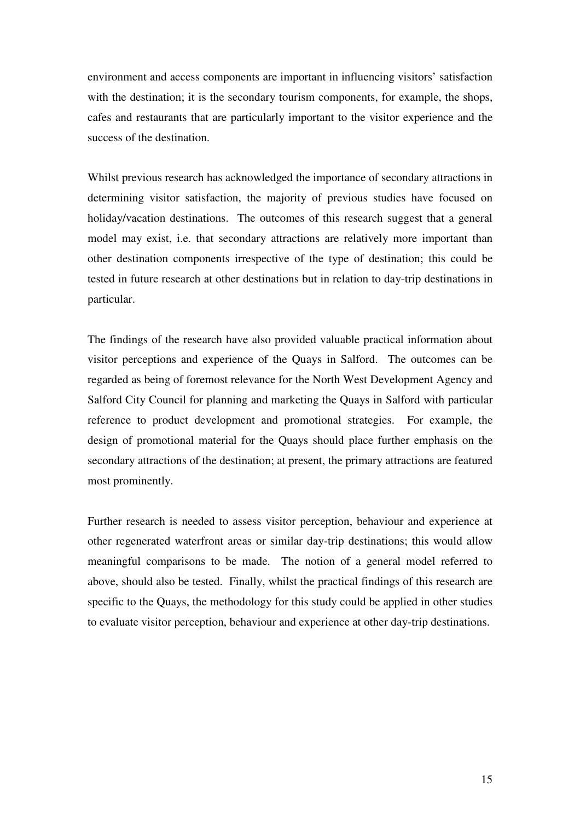environment and access components are important in influencing visitors' satisfaction with the destination; it is the secondary tourism components, for example, the shops, cafes and restaurants that are particularly important to the visitor experience and the success of the destination.

Whilst previous research has acknowledged the importance of secondary attractions in determining visitor satisfaction, the majority of previous studies have focused on holiday/vacation destinations. The outcomes of this research suggest that a general model may exist, i.e. that secondary attractions are relatively more important than other destination components irrespective of the type of destination; this could be tested in future research at other destinations but in relation to day-trip destinations in particular.

The findings of the research have also provided valuable practical information about visitor perceptions and experience of the Quays in Salford. The outcomes can be regarded as being of foremost relevance for the North West Development Agency and Salford City Council for planning and marketing the Quays in Salford with particular reference to product development and promotional strategies. For example, the design of promotional material for the Quays should place further emphasis on the secondary attractions of the destination; at present, the primary attractions are featured most prominently.

Further research is needed to assess visitor perception, behaviour and experience at other regenerated waterfront areas or similar day-trip destinations; this would allow meaningful comparisons to be made. The notion of a general model referred to above, should also be tested. Finally, whilst the practical findings of this research are specific to the Quays, the methodology for this study could be applied in other studies to evaluate visitor perception, behaviour and experience at other day-trip destinations.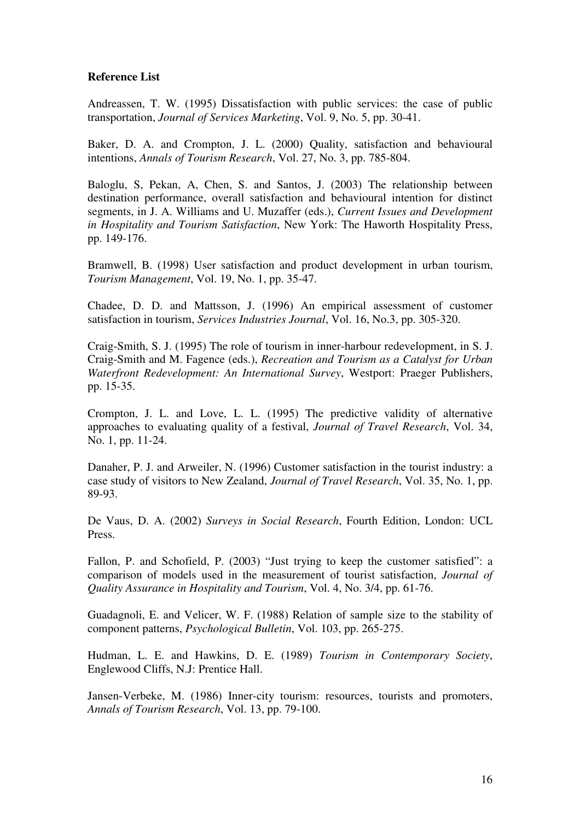## **Reference List**

Andreassen, T. W. (1995) Dissatisfaction with public services: the case of public transportation, *Journal of Services Marketing*, Vol. 9, No. 5, pp. 30-41.

Baker, D. A. and Crompton, J. L. (2000) Quality, satisfaction and behavioural intentions, *Annals of Tourism Research*, Vol. 27, No. 3, pp. 785-804.

Baloglu, S, Pekan, A, Chen, S. and Santos, J. (2003) The relationship between destination performance, overall satisfaction and behavioural intention for distinct segments, in J. A. Williams and U. Muzaffer (eds.), *Current Issues and Development in Hospitality and Tourism Satisfaction*, New York: The Haworth Hospitality Press, pp. 149-176.

Bramwell, B. (1998) User satisfaction and product development in urban tourism, *Tourism Management*, Vol. 19, No. 1, pp. 35-47.

Chadee, D. D. and Mattsson, J. (1996) An empirical assessment of customer satisfaction in tourism, *Services Industries Journal*, Vol. 16, No.3, pp. 305-320.

Craig-Smith, S. J. (1995) The role of tourism in inner-harbour redevelopment, in S. J. Craig-Smith and M. Fagence (eds.), *Recreation and Tourism as a Catalyst for Urban Waterfront Redevelopment: An International Survey*, Westport: Praeger Publishers, pp. 15-35.

Crompton, J. L. and Love, L. L. (1995) The predictive validity of alternative approaches to evaluating quality of a festival, *Journal of Travel Research*, Vol. 34, No. 1, pp. 11-24.

Danaher, P. J. and Arweiler, N. (1996) Customer satisfaction in the tourist industry: a case study of visitors to New Zealand, *Journal of Travel Research*, Vol. 35, No. 1, pp. 89-93.

De Vaus, D. A. (2002) *Surveys in Social Research*, Fourth Edition, London: UCL Press.

Fallon, P. and Schofield, P. (2003) "Just trying to keep the customer satisfied": a comparison of models used in the measurement of tourist satisfaction, *Journal of Quality Assurance in Hospitality and Tourism*, Vol. 4, No. 3/4, pp. 61-76.

Guadagnoli, E. and Velicer, W. F. (1988) Relation of sample size to the stability of component patterns, *Psychological Bulletin*, Vol. 103, pp. 265-275.

Hudman, L. E. and Hawkins, D. E. (1989) *Tourism in Contemporary Society*, Englewood Cliffs, N.J: Prentice Hall.

Jansen-Verbeke, M. (1986) Inner-city tourism: resources, tourists and promoters, *Annals of Tourism Research*, Vol. 13, pp. 79-100.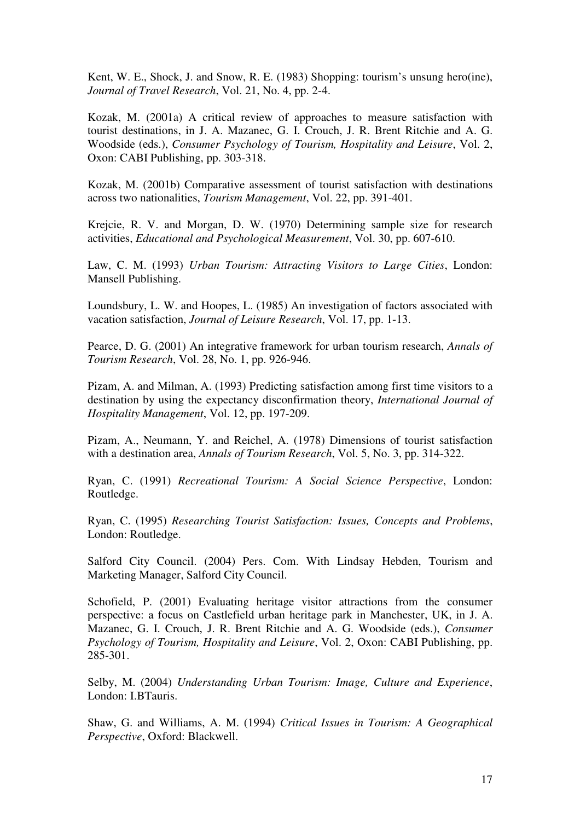Kent, W. E., Shock, J. and Snow, R. E. (1983) Shopping: tourism's unsung hero(ine), *Journal of Travel Research*, Vol. 21, No. 4, pp. 2-4.

Kozak, M. (2001a) A critical review of approaches to measure satisfaction with tourist destinations, in J. A. Mazanec, G. I. Crouch, J. R. Brent Ritchie and A. G. Woodside (eds.), *Consumer Psychology of Tourism, Hospitality and Leisure*, Vol. 2, Oxon: CABI Publishing, pp. 303-318.

Kozak, M. (2001b) Comparative assessment of tourist satisfaction with destinations across two nationalities, *Tourism Management*, Vol. 22, pp. 391-401.

Krejcie, R. V. and Morgan, D. W. (1970) Determining sample size for research activities, *Educational and Psychological Measurement*, Vol. 30, pp. 607-610.

Law, C. M. (1993) *Urban Tourism: Attracting Visitors to Large Cities*, London: Mansell Publishing.

Loundsbury, L. W. and Hoopes, L. (1985) An investigation of factors associated with vacation satisfaction, *Journal of Leisure Research*, Vol. 17, pp. 1-13.

Pearce, D. G. (2001) An integrative framework for urban tourism research, *Annals of Tourism Research*, Vol. 28, No. 1, pp. 926-946.

Pizam, A. and Milman, A. (1993) Predicting satisfaction among first time visitors to a destination by using the expectancy disconfirmation theory, *International Journal of Hospitality Management*, Vol. 12, pp. 197-209.

Pizam, A., Neumann, Y. and Reichel, A. (1978) Dimensions of tourist satisfaction with a destination area, *Annals of Tourism Research*, Vol. 5, No. 3, pp. 314-322.

Ryan, C. (1991) *Recreational Tourism: A Social Science Perspective*, London: Routledge.

Ryan, C. (1995) *Researching Tourist Satisfaction: Issues, Concepts and Problems*, London: Routledge.

Salford City Council. (2004) Pers. Com. With Lindsay Hebden, Tourism and Marketing Manager, Salford City Council.

Schofield, P. (2001) Evaluating heritage visitor attractions from the consumer perspective: a focus on Castlefield urban heritage park in Manchester, UK, in J. A. Mazanec, G. I. Crouch, J. R. Brent Ritchie and A. G. Woodside (eds.), *Consumer Psychology of Tourism, Hospitality and Leisure*, Vol. 2, Oxon: CABI Publishing, pp. 285-301.

Selby, M. (2004) *Understanding Urban Tourism: Image, Culture and Experience*, London: I.BTauris.

Shaw, G. and Williams, A. M. (1994) *Critical Issues in Tourism: A Geographical Perspective*, Oxford: Blackwell.